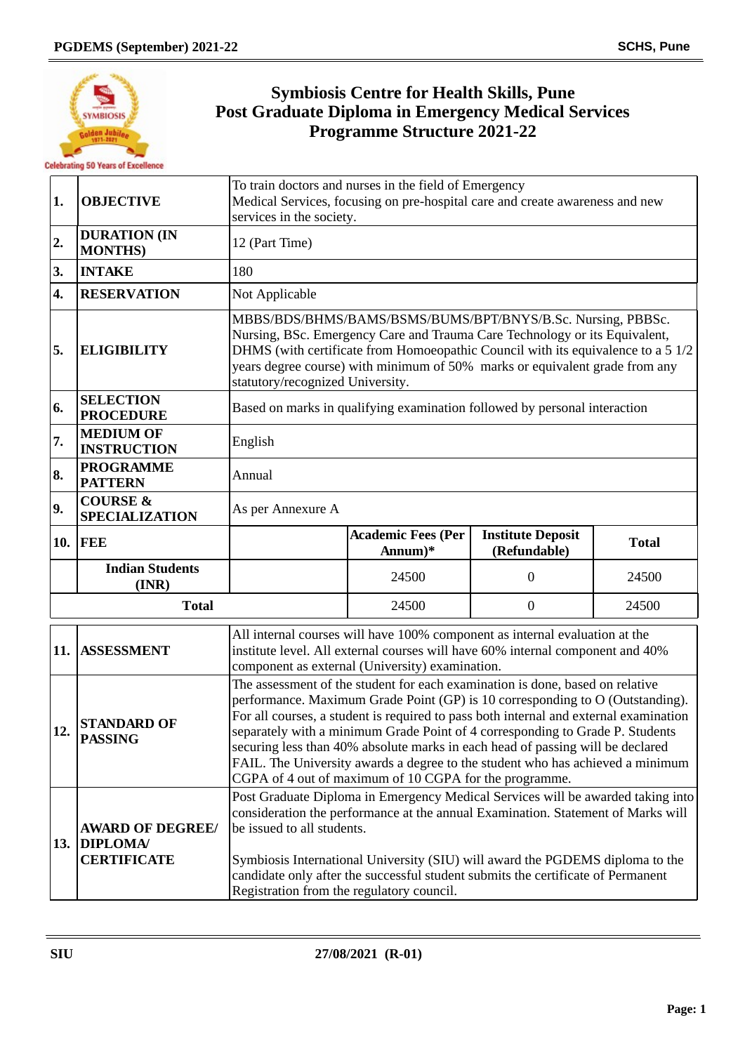

## **Symbiosis Centre for Health Skills, Pune Post Graduate Diploma in Emergency Medical Services Programme Structure 2021-22**

| 1.               | <b>OBJECTIVE</b>                                              | To train doctors and nurses in the field of Emergency<br>Medical Services, focusing on pre-hospital care and create awareness and new<br>services in the society.                                                                                                                                                                                                                                                                                                                                                                                                      |                                                                                                                                                                                                                                                                                                                                                                                                                     |                                          |              |  |
|------------------|---------------------------------------------------------------|------------------------------------------------------------------------------------------------------------------------------------------------------------------------------------------------------------------------------------------------------------------------------------------------------------------------------------------------------------------------------------------------------------------------------------------------------------------------------------------------------------------------------------------------------------------------|---------------------------------------------------------------------------------------------------------------------------------------------------------------------------------------------------------------------------------------------------------------------------------------------------------------------------------------------------------------------------------------------------------------------|------------------------------------------|--------------|--|
| 2.               | <b>DURATION (IN</b><br><b>MONTHS)</b>                         | 12 (Part Time)                                                                                                                                                                                                                                                                                                                                                                                                                                                                                                                                                         |                                                                                                                                                                                                                                                                                                                                                                                                                     |                                          |              |  |
| 3.               | <b>INTAKE</b>                                                 | 180                                                                                                                                                                                                                                                                                                                                                                                                                                                                                                                                                                    |                                                                                                                                                                                                                                                                                                                                                                                                                     |                                          |              |  |
| $\overline{4}$ . | <b>RESERVATION</b>                                            | Not Applicable                                                                                                                                                                                                                                                                                                                                                                                                                                                                                                                                                         |                                                                                                                                                                                                                                                                                                                                                                                                                     |                                          |              |  |
| 5.               | <b>ELIGIBILITY</b>                                            | MBBS/BDS/BHMS/BAMS/BSMS/BUMS/BPT/BNYS/B.Sc. Nursing, PBBSc.<br>Nursing, BSc. Emergency Care and Trauma Care Technology or its Equivalent,<br>DHMS (with certificate from Homoeopathic Council with its equivalence to a 5 1/2<br>years degree course) with minimum of 50% marks or equivalent grade from any<br>statutory/recognized University.                                                                                                                                                                                                                       |                                                                                                                                                                                                                                                                                                                                                                                                                     |                                          |              |  |
| 6.               | <b>SELECTION</b><br><b>PROCEDURE</b>                          | Based on marks in qualifying examination followed by personal interaction                                                                                                                                                                                                                                                                                                                                                                                                                                                                                              |                                                                                                                                                                                                                                                                                                                                                                                                                     |                                          |              |  |
| 7.               | <b>MEDIUM OF</b><br><b>INSTRUCTION</b>                        | English                                                                                                                                                                                                                                                                                                                                                                                                                                                                                                                                                                |                                                                                                                                                                                                                                                                                                                                                                                                                     |                                          |              |  |
| 8.               | <b>PROGRAMME</b><br><b>PATTERN</b>                            | Annual                                                                                                                                                                                                                                                                                                                                                                                                                                                                                                                                                                 |                                                                                                                                                                                                                                                                                                                                                                                                                     |                                          |              |  |
| 9.               | <b>COURSE &amp;</b><br><b>SPECIALIZATION</b>                  | As per Annexure A                                                                                                                                                                                                                                                                                                                                                                                                                                                                                                                                                      |                                                                                                                                                                                                                                                                                                                                                                                                                     |                                          |              |  |
|                  | <b>10. FEE</b>                                                |                                                                                                                                                                                                                                                                                                                                                                                                                                                                                                                                                                        | <b>Academic Fees (Per</b><br>Annum $)*$                                                                                                                                                                                                                                                                                                                                                                             | <b>Institute Deposit</b><br>(Refundable) | <b>Total</b> |  |
|                  | <b>Indian Students</b><br>(INR)                               |                                                                                                                                                                                                                                                                                                                                                                                                                                                                                                                                                                        | 24500                                                                                                                                                                                                                                                                                                                                                                                                               | $\boldsymbol{0}$                         | 24500        |  |
| <b>Total</b>     |                                                               |                                                                                                                                                                                                                                                                                                                                                                                                                                                                                                                                                                        | 24500                                                                                                                                                                                                                                                                                                                                                                                                               | $\boldsymbol{0}$                         | 24500        |  |
| 11.              | <b>ASSESSMENT</b>                                             | All internal courses will have 100% component as internal evaluation at the<br>institute level. All external courses will have 60% internal component and 40%<br>component as external (University) examination.                                                                                                                                                                                                                                                                                                                                                       |                                                                                                                                                                                                                                                                                                                                                                                                                     |                                          |              |  |
| 12.              | <b>STANDARD OF</b><br><b>PASSING</b>                          | The assessment of the student for each examination is done, based on relative<br>performance. Maximum Grade Point (GP) is 10 corresponding to O (Outstanding).<br>For all courses, a student is required to pass both internal and external examination<br>separately with a minimum Grade Point of 4 corresponding to Grade P. Students<br>securing less than 40% absolute marks in each head of passing will be declared<br>FAIL. The University awards a degree to the student who has achieved a minimum<br>CGPA of 4 out of maximum of 10 CGPA for the programme. |                                                                                                                                                                                                                                                                                                                                                                                                                     |                                          |              |  |
|                  | <b>AWARD OF DEGREE/</b><br>13. DIPLOMA/<br><b>CERTIFICATE</b> |                                                                                                                                                                                                                                                                                                                                                                                                                                                                                                                                                                        | Post Graduate Diploma in Emergency Medical Services will be awarded taking into<br>consideration the performance at the annual Examination. Statement of Marks will<br>be issued to all students.<br>Symbiosis International University (SIU) will award the PGDEMS diploma to the<br>candidate only after the successful student submits the certificate of Permanent<br>Registration from the regulatory council. |                                          |              |  |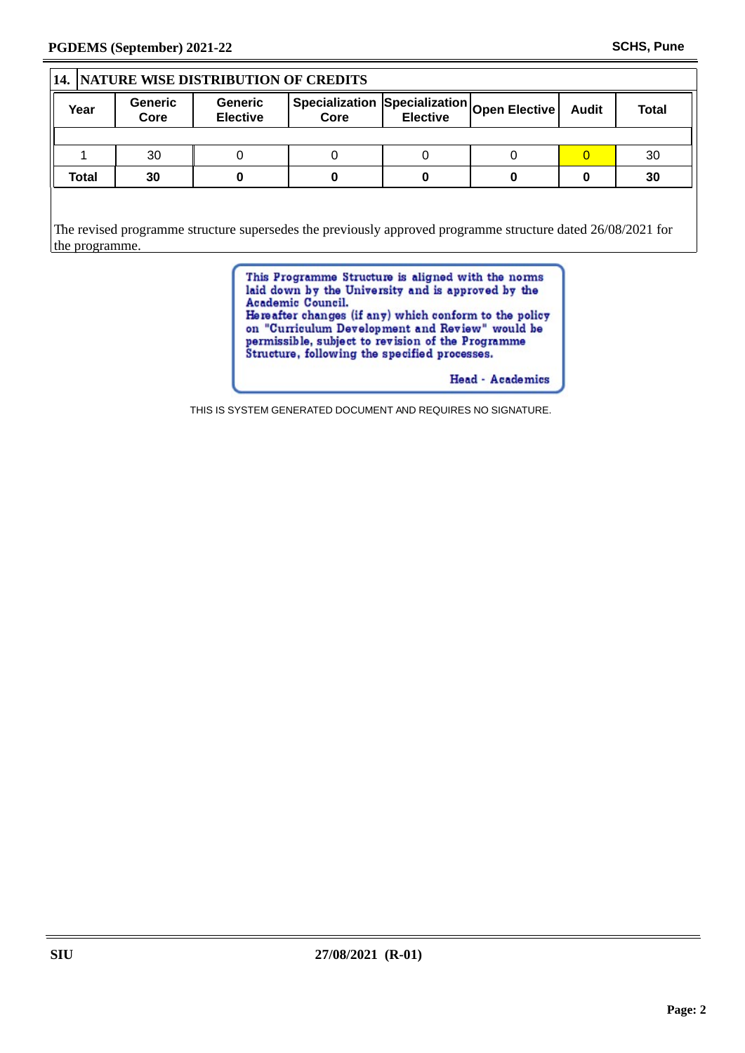## **14. NATURE WISE DISTRIBUTION OF CREDITS Year Generic Core Generic**  $\begin{array}{|l|l|} \hline \text{Generic} & \text{Specialization} \text{|}\text{Specialization} \text{|}\text{Open Electric} & \text{Audio} & \text{Total} \end{array}$ **Elective Core** 1 | 30 | 0 | 0 | 0 | 0 <mark>| 0 |</mark> 30 **Total 30 0 0 0 0 0 30** The revised programme structure supersedes the previously approved programme structure dated 26/08/2021 for the programme.

This Programme Structure is aligned with the norms laid down by the University and is approved by the Academic Council.<br>Hereafter changes (if any) which conform to the policy on "Curriculum Development and Review" would be permissible, subject to revision of the Programme<br>Structure, following the specified processes.

Head - Academics

THIS IS SYSTEM GENERATED DOCUMENT AND REQUIRES NO SIGNATURE.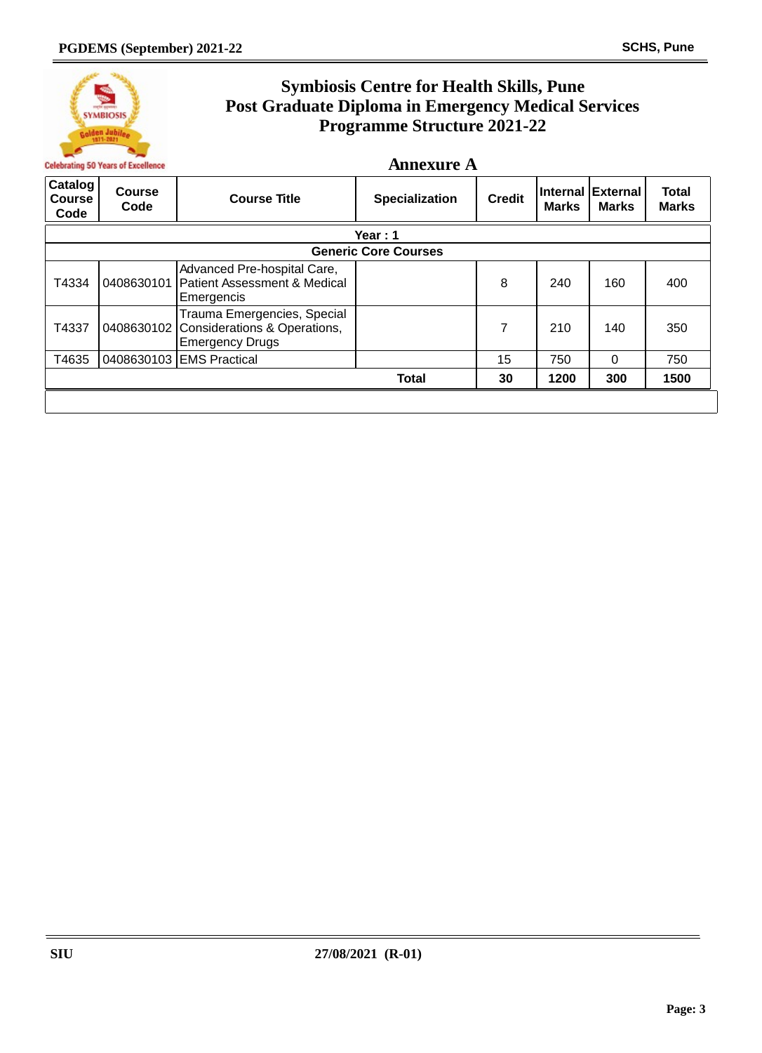

## **Symbiosis Centre for Health Skills, Pune Post Graduate Diploma in Emergency Medical Services Programme Structure 2021-22**

**Annexure A**

| Catalog<br><b>Course</b><br>Code | <b>Course</b><br>Code       | <b>Course Title</b>                                                                              | <b>Specialization</b> | <b>Credit</b> | <b>Internal</b><br><b>Marks</b> | External<br><b>Marks</b> | Total<br><b>Marks</b> |  |  |  |
|----------------------------------|-----------------------------|--------------------------------------------------------------------------------------------------|-----------------------|---------------|---------------------------------|--------------------------|-----------------------|--|--|--|
|                                  | Year: $1$                   |                                                                                                  |                       |               |                                 |                          |                       |  |  |  |
|                                  | <b>Generic Core Courses</b> |                                                                                                  |                       |               |                                 |                          |                       |  |  |  |
| T4334                            | 0408630101                  | Advanced Pre-hospital Care,<br><b>Patient Assessment &amp; Medical</b><br>Emergencis             |                       | 8             | 240                             | 160                      | 400                   |  |  |  |
| T4337                            |                             | Trauma Emergencies, Special<br>0408630102 Considerations & Operations,<br><b>Emergency Drugs</b> |                       | 7             | 210                             | 140                      | 350                   |  |  |  |
| T4635                            |                             | 0408630103 EMS Practical                                                                         |                       | 15            | 750                             | 0                        | 750                   |  |  |  |
|                                  |                             |                                                                                                  | <b>Total</b>          | 30            | 1200                            | 300                      | 1500                  |  |  |  |
|                                  |                             |                                                                                                  |                       |               |                                 |                          |                       |  |  |  |